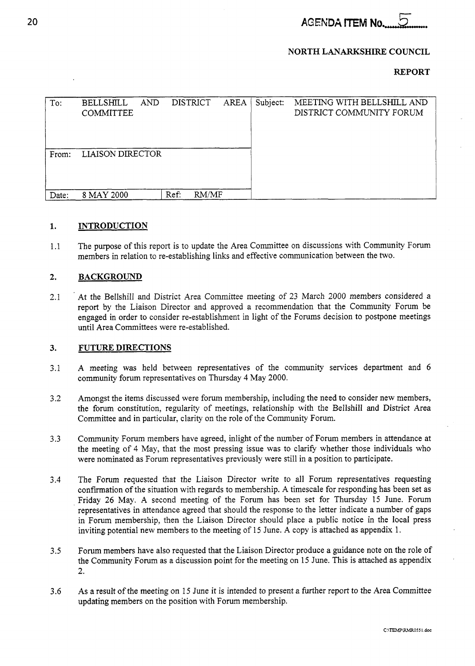**AGENDA ITEM No.** 

# **NORTH LANARKSHIRE COUNCIL**

# **REPORT**

| To:   | <b>BELLSHILL</b><br><b>COMMITTEE</b> | <b>AND</b> | <b>DISTRICT</b> | <b>AREA</b> | Subject: | MEETING WITH BELLSHILL AND<br>DISTRICT COMMUNITY FORUM |
|-------|--------------------------------------|------------|-----------------|-------------|----------|--------------------------------------------------------|
| From: | <b>LIAISON DIRECTOR</b>              |            |                 |             |          |                                                        |
| Date: | 8 MAY 2000                           |            | Ref:            | RM/MF       |          |                                                        |

#### **1. INTRODUCTION**

1.1 The purpose of this report is to update the Area Committee on discussions with Community Forum members in relation to re-establishing links and effective communication between the two.

#### **2. BACKGROUND**

2.1 At the Bellshill and District Area Committee meeting of 23 March 2000 members considered a report by the Liaison Director and approved a recommendation that the Community Forum be engaged in order to consider re-establishment in light of the Forums decision to postpone meetings until Area Committees were re-established.

#### **3. FUTURE DIRECTIONS**

- 3.1 **A** meeting was held between representatives of the community services department and 6 community forum representatives on Thursday 4 May 2000.
- 3.2 Amongst the items discussed were forum membership, including the need to consider new members, the forum constitution, regularity of meetings, relationship with the Bellshill and District Area Committee and in particular, clarity on the role of the Community Forum.
- 3.3 Community Forum members have agreed, inlight of the number of Forum members in attendance at the meeting of 4 May, that the most pressing issue was to clarify whether those individuals who were nominated as Forum representatives previously were still in a position to participate.
- 3.4 The Forum requested that the Liaison Director write to all Forum representatives requesting confirmation of the situation with regards to membership. A timescale for responding has been set as Friday 26 May. **A** second meeting of the Forum has been set for Thursday 15 June. Forum representatives in attendance agreed that should the response to the letter indicate a number of gaps in Forum membership, then the Liaison Director should place a public notice in the local press inviting potential new members to the meeting of 15 June. A copy is attached as appendix 1.
- 3.5 Forum members have also requested that the Liaison Director produce a guidance note on the role of the Community Forum as a discussion point for the meeting on 15 June. This is attached as appendix 2.
- 3.6 As a result of the meeting on 15 June it is intended to present a further report to the Area Committee updating members on the position with Forum membership.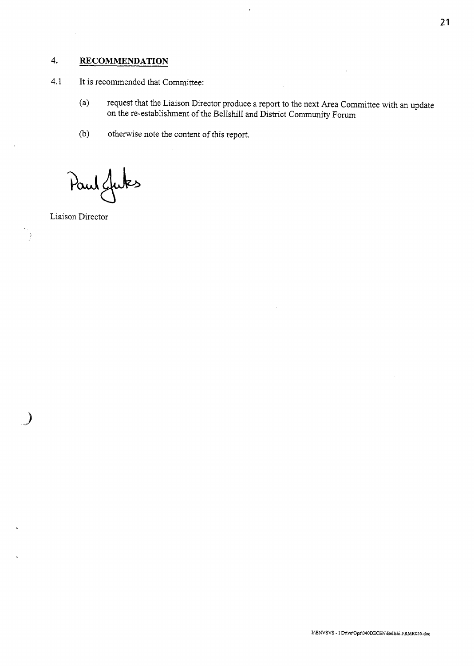# **4. RECOMMENDATION**

- 4.1 It is recommended that Committee:
	- (a) request that the Liaison Director produce a report to the next Area Committee with an update on the re-establishment of the Bellshill and District Community Forum
	- (b) otherwise note the content of this report.

Paul Juks

Liaison Director

l y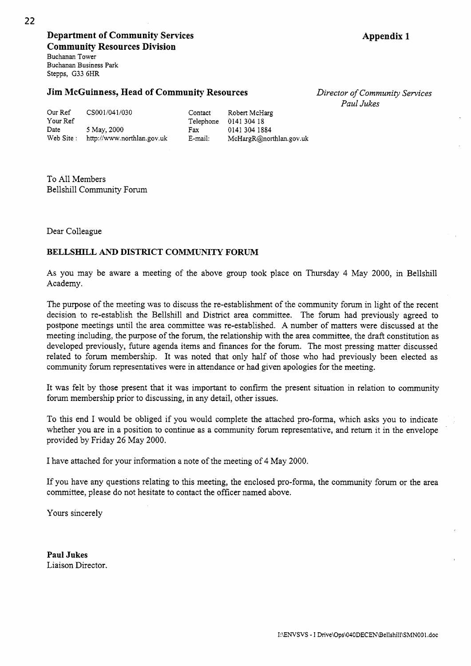**Department of Community Services Community Resources Division**  Buchanan Tower Buchanan Business **Park**  Stepps, G33 6HR

# **Jim McGuinness, Head of Community Resources**

*Director of Community Sewices Paul Jukes* 

|  |  |  | <b>Jim McGuinness, Head of Community Resources</b> |  |
|--|--|--|----------------------------------------------------|--|
|  |  |  |                                                    |  |

| Our Ref    | CS001/041/030              | Contact   | Robert McHarg           |
|------------|----------------------------|-----------|-------------------------|
| Your Ref   |                            | Telephone | 0141 304 18             |
| Date       | 5 May, 2000                | Fax       | 0141 304 1884           |
| Web Site : | http://www.northlan.gov.uk | E-mail:   | McHargR@northlan.gov.uk |

To All Members Bellshill Community Forum

Dear Colleague

# **BELLSEIILL** AND **DISTRICT COMMUNITY FORUM**

As you may be aware a meeting of the above group took place on Thursday 4 May 2000, in Bellshill Academy.

The purpose of the meeting was to discuss the re-establishment of the community forum in light of the recent decision to re-establish the Bellshill and District area committee. The forum had previously agreed to postpone meetings until the area committee was re-established. A number of matters were discussed at the meeting including, the purpose of the forum, the relationship with the area committee, the draft constitution as developed previously, future agenda items and finances for the forum. The most pressing matter discussed related to forum membership. It was noted that only half of those who had previously been elected as community forum representatives were in attendance or had given apologies for the meeting.

It was felt by those present that it was important to confirm the present situation in relation to community forum membership prior to discussing, in any detail, other issues.

To this end I would be obliged if you would complete the attached pro-forma, which asks you to indicate whether you are in a position to continue as a community forum representative, and return it in the envelope provided by Friday *26* May 2000.

I have attached for your information a note of the meeting of 4 May 2000.

If you have any questions relating to this meeting, the enclosed pro-forma, the community forum or the area committee, please do not hesitate to contact the officer named above.

Yours sincerely

**Paul Jukes**  Liaison Director.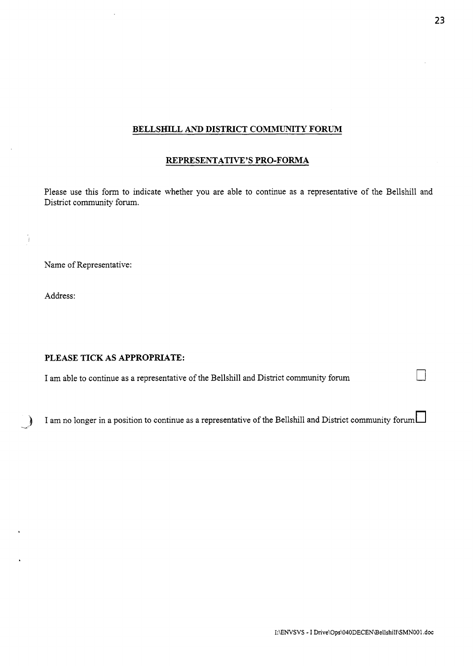## **BELLSHILL** AND **DISTRICT COMMUNITY FORUM**

# **REPRESENTATIVE'S PRO-FORMA**

Please use this form to indicate whether you are able to continue as a representative of the Bellshill and District community forum.

Name of Representative:

Address:

!

# **PLEASE TICK AS APPROPRIATE:**

I am able to continue as a representative of the Bellshill and District community forum *0* 

I am no longer in a position to continue as a representative of the Bellshill and District community forum  $\Box$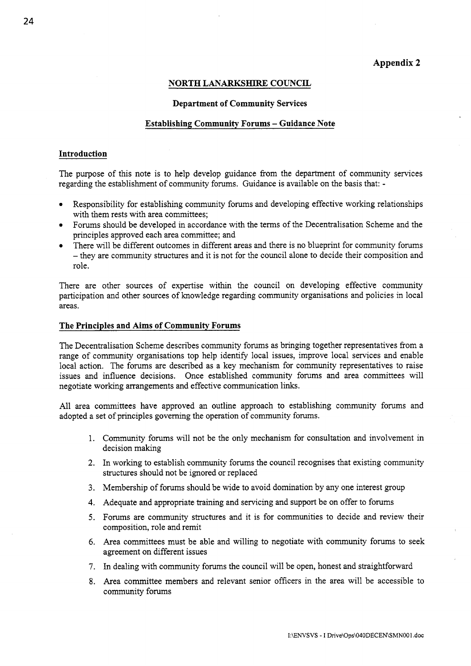## **Appendix 2**

## **NORTH LAKARKSHIRE COUNCIL**

### **Department of Community Services**

### **Establishing Community Forums** - **Guidance Note**

## **Introduction**

The purpose of this note is to help develop guidance from the department of community services regarding the establishment of community forums. Guidance is available on the basis that: -

- *0*  Responsibility for establishing community forums and developing effective working relationships with them rests with area committees:
- *0*  Forums should be developed in accordance with the terms of the Decentralisation Scheme and the principles approved each area committee; and
- *0*  There will be different outcomes in different areas and there is no blueprint for community forums - they are community structures and it is not for the council alone to decide their composition and role.

There are other sources of expertise within the council on developing effective community participation and other sources of knowledge regarding community organisations and policies in local areas.

## **The Principles and Aims of Community Forums**

The Decentralisation Scheme describes community forums as bringing together representatives from a range of community organisations top help identify local issues, improve local services and enable local action. The forums are described as a key mechanism for community representatives to raise issues and influence decisions. Once established community forums and area committees will negotiate working arrangements and effective communication links.

All area committees have approved an outline approach to establishing community forums and adopted a set of principles governing the operation of community forums.

- 1. Community forums will not be the only mechanism for consultation and involvement in decision making
- **2.**  In working to establish community forums the council recognises that existing community structures should not be ignored or replaced
- 3. Membership of forums should be wide to avoid domination by any one interest group
- 4. Adequate and appropriate training and servicing and support be on offer to forums
- *5.*  Forums are community structures and it is for communities to decide and review their composition, role and remit
- **6.**  Area committees must be able and willing to negotiate with community forums to seek agreement on different issues
- *7.*  In dealing with community forums the council will be open, honest and straightforward
- 8. Area committee members and relevant senior officers in the area will be accessible to community forums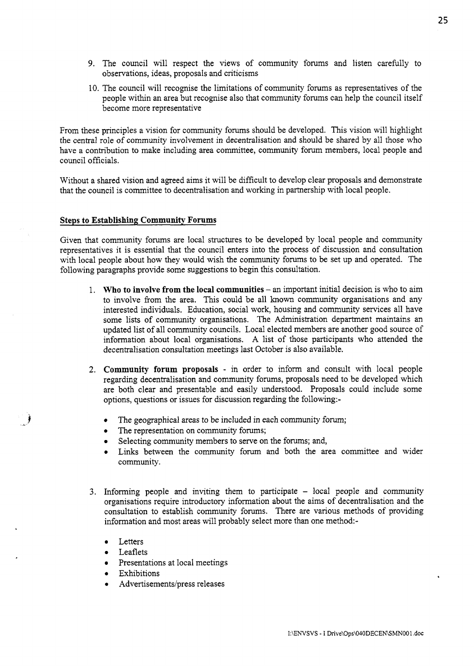- 9. The council will respect the views of community forums and listen carefully to observations, ideas, proposals and criticisms
- 10. The council will recognise the limitations of community forums as representatives of the people within an area but recognise also that community forums can help the council itself become more representative

From these principles a vision for community forums should be developed. This vision will highlight the central role of community involvement in decentralisation and should be shared by all those who have a contribution to make including area committee, community forum members, local people and council officials.

Without a shared vision and agreed aims it will be difficult to develop clear proposals and demonstrate that the council is committee to decentralisation and working in partnership with local people.

## **Steps to Establishing Community Forums**

Given that community forums are local structures to be developed by local people and community representatives it is essential that the council enters into the process of discussion and consultation with local people about how they would wish the community forums to be set up and operated. The following paragraphs provide some suggestions to begin this consultation.

- 1. **Who to involve from the local communities** an important initial decision is who to aim to involve from the area. This could be all known community organisations and any interested individuals. Education, social work, housing and community services all have some lists of community organisations. The Administration department maintains an updated list of all community councils. Local elected members are another good source of information about local organisations. **A** list of those participants who attended the decentralisation consultation meetings last October is also available.
- **2. Community forum proposals**  in order to inform and consult with local people regarding decentralisation and community forums, proposals need to be developed which are both clear and presentable and easily understood. Proposals could include some options, questions or issues for discussion regarding the following:-
	- *0*  The geographical areas to be included in each community forum;
	- *0*  The representation on community forums;
	- *0*  Selecting community members to serve on the forums; and,
	- *0*  Links between the community forum and both the area committee and wider community.
- 3. Informing people and inviting them to participate local people and community organisations require introductory information about the aims of decentralisation and the consultation to establish community forums. There are various methods of providing information and most areas will probably select more than one method:-
	- *<sup>0</sup>*Letters
	- *0* Leaflets
	- Presentations at local meetings
	- *0* Exhibitions
	- Advertisements/press releases